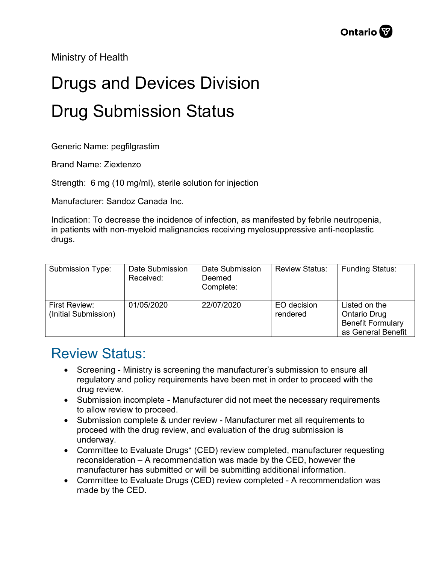Ministry of Health

## Drugs and Devices Division Drug Submission Status

Generic Name: pegfilgrastim

Brand Name: Ziextenzo

Strength: 6 mg (10 mg/ml), sterile solution for injection

Manufacturer: Sandoz Canada Inc.

Indication: To decrease the incidence of infection, as manifested by febrile neutropenia, in patients with non-myeloid malignancies receiving myelosuppressive anti-neoplastic drugs.

| Submission Type:                      | Date Submission<br>Received: | Date Submission<br>Deemed<br>Complete: | <b>Review Status:</b>   | <b>Funding Status:</b>                                                          |
|---------------------------------------|------------------------------|----------------------------------------|-------------------------|---------------------------------------------------------------------------------|
| First Review:<br>(Initial Submission) | 01/05/2020                   | 22/07/2020                             | EO decision<br>rendered | Listed on the<br>Ontario Drug<br><b>Benefit Formulary</b><br>as General Benefit |

## Review Status:

- Screening Ministry is screening the manufacturer's submission to ensure all regulatory and policy requirements have been met in order to proceed with the drug review.
- Submission incomplete Manufacturer did not meet the necessary requirements to allow review to proceed.
- Submission complete & under review Manufacturer met all requirements to proceed with the drug review, and evaluation of the drug submission is underway.
- Committee to Evaluate Drugs\* (CED) review completed, manufacturer requesting reconsideration – A recommendation was made by the CED, however the manufacturer has submitted or will be submitting additional information.
- Committee to Evaluate Drugs (CED) review completed A recommendation was made by the CED.